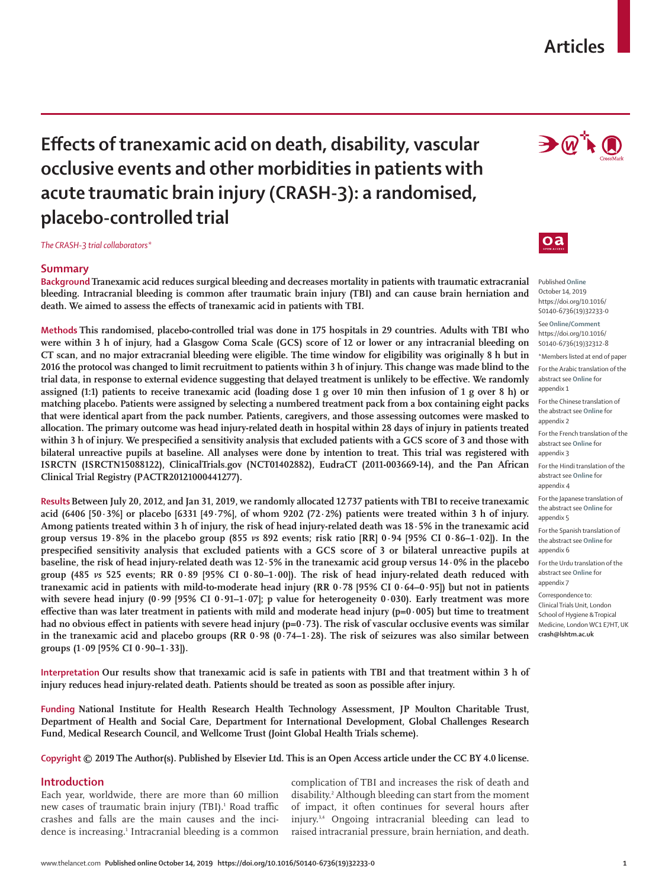## **Articles**

# **Effects of tranexamic acid on death, disability, vascular occlusive events and other morbidities in patients with acute traumatic brain injury (CRASH-3): a randomised, placebo-controlled trial**

*The CRASH-3 trial collaborators\**

## **Summary**

**Background Tranexamic acid reduces surgical bleeding and decreases mortality in patients with traumatic extracranial bleeding. Intracranial bleeding is common after traumatic brain injury (TBI) and can cause brain herniation and death. We aimed to assess the effects of tranexamic acid in patients with TBI.**

**Methods This randomised, placebo-controlled trial was done in 175 hospitals in 29 countries. Adults with TBI who were within 3 h of injury, had a Glasgow Coma Scale (GCS) score of 12 or lower or any intracranial bleeding on CT scan, and no major extracranial bleeding were eligible. The time window for eligibility was originally 8 h but in 2016 the protocol was changed to limit recruitment to patients within 3 h of injury. This change was made blind to the trial data, in response to external evidence suggesting that delayed treatment is unlikely to be effective. We randomly assigned (1:1) patients to receive tranexamic acid (loading dose 1 g over 10 min then infusion of 1 g over 8 h) or matching placebo. Patients were assigned by selecting a numbered treatment pack from a box containing eight packs that were identical apart from the pack number. Patients, caregivers, and those assessing outcomes were masked to allocation. The primary outcome was head injury-related death in hospital within 28 days of injury in patients treated within 3 h of injury. We prespecified a sensitivity analysis that excluded patients with a GCS score of 3 and those with bilateral unreactive pupils at baseline. All analyses were done by intention to treat. This trial was registered with ISRCTN (ISRCTN15088122), ClinicalTrials.gov (NCT01402882), EudraCT (2011-003669-14), and the Pan African Clinical Trial Registry (PACTR20121000441277).**

**ResultsBetween July 20, 2012, and Jan 31, 2019, we randomly allocated 12 737 patients with TBI to receive tranexamic acid (6406 [50·3%] or placebo [6331 [49·7%], of whom 9202 (72·2%) patients were treated within 3 h of injury. Among patients treated within 3 h of injury, the risk of head injury-related death was 18·5% in the tranexamic acid group versus 19·8% in the placebo group (855** *vs* **892 events; risk ratio [RR] 0·94 [95% CI 0·86–1·02]). In the prespecified sensitivity analysis that excluded patients with a GCS score of 3 or bilateral unreactive pupils at baseline, the risk of head injury-related death was 12·5% in the tranexamic acid group versus 14·0% in the placebo group (485** *vs* **525 events; RR 0·89 [95% CI 0·80–1·00]). The risk of head injury-related death reduced with tranexamic acid in patients with mild-to-moderate head injury (RR 0·78 [95% CI 0·64–0·95]) but not in patients with severe head injury (0·99 [95% CI 0·91–1·07]; p value for heterogeneity 0·030). Early treatment was more effective than was later treatment in patients with mild and moderate head injury (p=0·005) but time to treatment**  had no obvious effect in patients with severe head injury (p=0·73). The risk of vascular occlusive events was similar **in the tranexamic acid and placebo groups (RR 0·98 (0·74–1·28). The risk of seizures was also similar between groups (1·09 [95% CI 0·90–1·33]).**

**Interpretation Our results show that tranexamic acid is safe in patients with TBI and that treatment within 3 h of injury reduces head injury-related death. Patients should be treated as soon as possible after injury.**

**Funding National Institute for Health Research Health Technology Assessment, JP Moulton Charitable Trust, Department of Health and Social Care, Department for International Development, Global Challenges Research Fund, Medical Research Council, and Wellcome Trust (Joint Global Health Trials scheme).**

**Copyright © 2019 The Author(s). Published by Elsevier Ltd. This is an Open Access article under the CC BY 4.0 license.**

## **Introduction**

Each year, worldwide, there are more than 60 million new cases of traumatic brain injury (TBI).<sup>1</sup> Road traffic crashes and falls are the main causes and the incidence is increasing.<sup>1</sup> Intracranial bleeding is a common complication of TBI and increases the risk of death and disability.<sup>2</sup> Although bleeding can start from the moment of impact, it often continues for several hours after injury.3,4 Ongoing intracranial bleeding can lead to raised intracranial pressure, brain herniation, and death.



## $\mathbf{0}$ a

Published **Online** October 14, 2019 https://doi.org/10.1016/ S0140-6736(19)32233-0

See**Online/Comment** https://doi.org/10.1016/ S0140-6736(19)32312-8

\*Members listed at end of paper For the Arabic translation of the abstract see **Online** for

appendix 1 For the Chinese translation of the abstract see **Online** for

appendix 2 For the French translation of the abstract see **Online** for appendix 3

For the Hindi translation of the abstract see **Online** for appendix 4

For the Japanese translation of the abstract see **Online** for appendix 5

For the Spanish translation of the abstract see **Online** for appendix 6

For the Urdu translation of the abstract see **Online** for appendix 7

Correspondence to: Clinical Trials Unit, London School of Hygiene & Tropical Medicine, London WC1 E7HT, UK **crash@lshtm.ac.uk**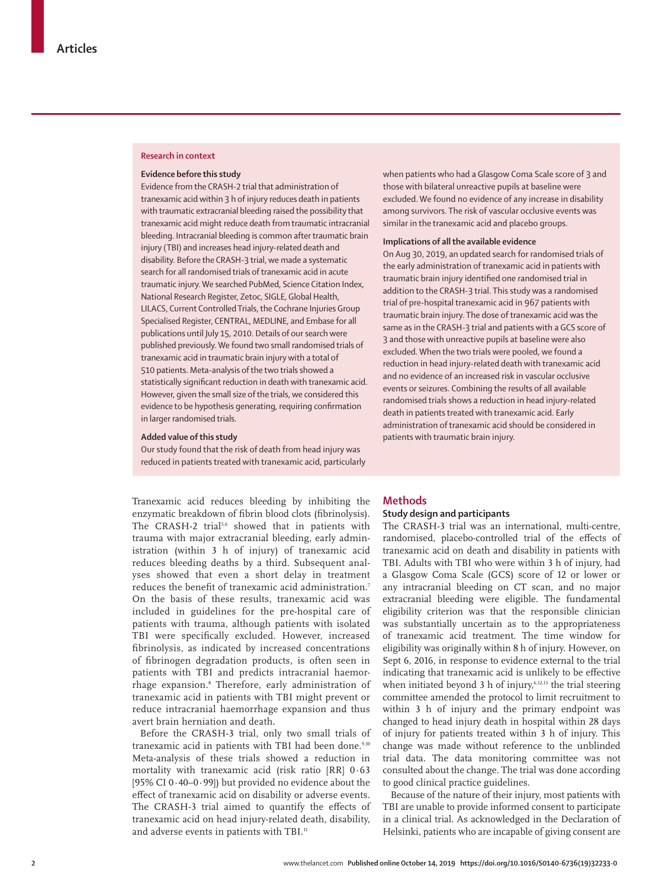#### **Research in context**

### **Evidence before this study**

Evidence from the CRASH-2 trial that administration of tranexamic acid within 3 h of injury reduces death in patients with traumatic extracranial bleeding raised the possibility that tranexamic acid might reduce death from traumatic intracranial bleeding. Intracranial bleeding is common after traumatic brain injury (TBI) and increases head injury-related death and disability. Before the CRASH-3 trial, we made a systematic search for all randomised trials of tranexamic acid in acute traumatic injury. We searched PubMed, Science Citation Index, National Research Register, Zetoc, SIGLE, Global Health, LILACS, Current Controlled Trials, the Cochrane Injuries Group Specialised Register, CENTRAL, MEDLINE, and Embase for all publications until July 15, 2010. Details of our search were published previously. We found two small randomised trials of tranexamic acid in traumatic brain injury with a total of 510 patients. Meta-analysis of the two trials showed a statistically significant reduction in death with tranexamic acid. However, given the small size of the trials, we considered this evidence to be hypothesis generating, requiring confirmation in larger randomised trials.

## **Added value of this study**

Our study found that the risk of death from head injury was reduced in patients treated with tranexamic acid, particularly

Tranexamic acid reduces bleeding by inhibiting the enzymatic breakdown of fibrin blood clots (fibrinolysis). The CRASH-2 trial<sup>5,6</sup> showed that in patients with trauma with major extracranial bleeding, early administration (within 3 h of injury) of tranexamic acid reduces bleeding deaths by a third. Subsequent analyses showed that even a short delay in treatment reduces the benefit of tranexamic acid administration.7 On the basis of these results, tranexamic acid was included in guidelines for the pre-hospital care of patients with trauma, although patients with isolated TBI were specifically excluded. However, increased fibrinolysis, as indicated by increased concentrations of fibrinogen degradation products, is often seen in patients with TBI and predicts intracranial haemorrhage expansion.8 Therefore, early administration of tranexamic acid in patients with TBI might prevent or reduce intracranial haemorrhage expansion and thus avert brain herniation and death.

Before the CRASH-3 trial, only two small trials of tranexamic acid in patients with TBI had been done.<sup>9,10</sup> Meta-analysis of these trials showed a reduction in mortality with tranexamic acid (risk ratio [RR] 0·63 [95% CI 0·40–0·99]) but provided no evidence about the effect of tranexamic acid on disability or adverse events. The CRASH-3 trial aimed to quantify the effects of tranexamic acid on head injury-related death, disability, and adverse events in patients with TBI.<sup>11</sup>

when patients who had a Glasgow Coma Scale score of 3 and those with bilateral unreactive pupils at baseline were excluded. We found no evidence of any increase in disability among survivors. The risk of vascular occlusive events was similar in the tranexamic acid and placebo groups.

#### **Implications of all the available evidence**

On Aug 30, 2019, an updated search for randomised trials of the early administration of tranexamic acid in patients with traumatic brain injury identified one randomised trial in addition to the CRASH-3 trial. This study was a randomised trial of pre-hospital tranexamic acid in 967 patients with traumatic brain injury. The dose of tranexamic acid was the same as in the CRASH-3 trial and patients with a GCS score of 3 and those with unreactive pupils at baseline were also excluded. When the two trials were pooled, we found a reduction in head injury-related death with tranexamic acid and no evidence of an increased risk in vascular occlusive events or seizures. Combining the results of all available randomised trials shows a reduction in head injury-related death in patients treated with tranexamic acid. Early administration of tranexamic acid should be considered in patients with traumatic brain injury.

## **Methods**

## **Study design and participants**

The CRASH-3 trial was an international, multi-centre, randomised, placebo-controlled trial of the effects of tranexamic acid on death and disability in patients with TBI. Adults with TBI who were within 3 h of injury, had a Glasgow Coma Scale (GCS) score of 12 or lower or any intracranial bleeding on CT scan, and no major extracranial bleeding were eligible. The fundamental eligibility criterion was that the responsible clinician was substantially uncertain as to the appropriateness of tranexamic acid treatment. The time window for eligibility was originally within 8 h of injury. However, on Sept 6, 2016, in response to evidence external to the trial indicating that tranexamic acid is unlikely to be effective when initiated beyond 3 h of injury,<sup>6,12,13</sup> the trial steering committee amended the protocol to limit recruitment to within 3 h of injury and the primary endpoint was changed to head injury death in hospital within 28 days of injury for patients treated within 3 h of injury. This change was made without reference to the unblinded trial data. The data monitoring committee was not consulted about the change. The trial was done according to good clinical practice guidelines.

Because of the nature of their injury, most patients with TBI are unable to provide informed consent to participate in a clinical trial. As acknowledged in the Declaration of Helsinki, patients who are incapable of giving consent are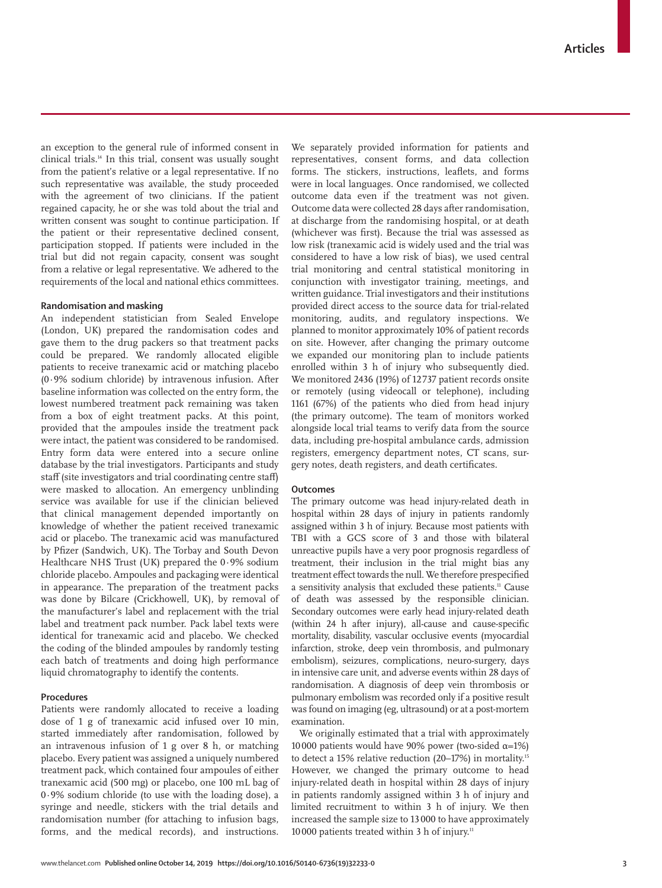an exception to the general rule of informed consent in clinical trials.14 In this trial, consent was usually sought from the patient's relative or a legal representative. If no such representative was available, the study proceeded with the agreement of two clinicians. If the patient regained capacity, he or she was told about the trial and written consent was sought to continue participation. If the patient or their representative declined consent, participation stopped. If patients were included in the trial but did not regain capacity, consent was sought from a relative or legal representative. We adhered to the requirements of the local and national ethics committees.

## **Randomisation and masking**

An independent statistician from Sealed Envelope (London, UK) prepared the randomisation codes and gave them to the drug packers so that treatment packs could be prepared. We randomly allocated eligible patients to receive tranexamic acid or matching placebo (0·9% sodium chloride) by intravenous infusion. After baseline information was collected on the entry form, the lowest numbered treatment pack remaining was taken from a box of eight treatment packs. At this point, provided that the ampoules inside the treatment pack were intact, the patient was considered to be randomised. Entry form data were entered into a secure online database by the trial investigators. Participants and study staff (site investigators and trial coordinating centre staff) were masked to allocation. An emergency unblinding service was available for use if the clinician believed that clinical management depended importantly on knowledge of whether the patient received tranexamic acid or placebo. The tranexamic acid was manufactured by Pfizer (Sandwich, UK). The Torbay and South Devon Healthcare NHS Trust (UK) prepared the 0·9% sodium chloride placebo. Ampoules and packaging were identical in appearance. The preparation of the treatment packs was done by Bilcare (Crickhowell, UK), by removal of the manufacturer's label and replacement with the trial label and treatment pack number. Pack label texts were identical for tranexamic acid and placebo. We checked the coding of the blinded ampoules by randomly testing each batch of treatments and doing high performance liquid chromatography to identify the contents.

## **Procedures**

Patients were randomly allocated to receive a loading dose of 1 g of tranexamic acid infused over 10 min, started immediately after randomisation, followed by an intravenous infusion of 1 g over 8 h, or matching placebo. Every patient was assigned a uniquely numbered treatment pack, which contained four ampoules of either tranexamic acid (500 mg) or placebo, one 100 mL bag of 0·9% sodium chloride (to use with the loading dose), a syringe and needle, stickers with the trial details and randomisation number (for attaching to infusion bags, forms, and the medical records), and instructions.

We separately provided information for patients and representatives, consent forms, and data collection forms. The stickers, instructions, leaflets, and forms were in local languages. Once randomised, we collected outcome data even if the treatment was not given. Outcome data were collected 28 days after randomisation, at discharge from the randomising hospital, or at death (whichever was first). Because the trial was assessed as low risk (tranexamic acid is widely used and the trial was considered to have a low risk of bias), we used central trial monitoring and central statistical monitoring in conjunction with investigator training, meetings, and written guidance. Trial investigators and their institutions provided direct access to the source data for trial-related monitoring, audits, and regulatory inspections. We planned to monitor approximately 10% of patient records on site. However, after changing the primary outcome we expanded our monitoring plan to include patients enrolled within 3 h of injury who subsequently died. We monitored 2436 (19%) of 12 737 patient records onsite or remotely (using videocall or telephone), including 1161 (67%) of the patients who died from head injury (the primary outcome). The team of monitors worked alongside local trial teams to verify data from the source data, including pre-hospital ambulance cards, admission registers, emergency department notes, CT scans, surgery notes, death registers, and death certificates.

## **Outcomes**

The primary outcome was head injury-related death in hospital within 28 days of injury in patients randomly assigned within 3 h of injury. Because most patients with TBI with a GCS score of 3 and those with bilateral unreactive pupils have a very poor prognosis regardless of treatment, their inclusion in the trial might bias any treatment effect towards the null. We therefore prespecified a sensitivity analysis that excluded these patients.<sup>11</sup> Cause of death was assessed by the responsible clinician. Secondary outcomes were early head injury-related death (within 24 h after injury), all-cause and cause-specific mortality, disability, vascular occlusive events (myocardial infarction, stroke, deep vein thrombosis, and pulmonary embolism), seizures, complications, neuro-surgery, days in intensive care unit, and adverse events within 28 days of randomisation. A diagnosis of deep vein thrombosis or pulmonary embolism was recorded only if a positive result was found on imaging (eg, ultrasound) or at a post-mortem examination.

We originally estimated that a trial with approximately 10 000 patients would have 90% power (two-sided  $α=1%$ ) to detect a 15% relative reduction (20-17%) in mortality.<sup>15</sup> However, we changed the primary outcome to head injury-related death in hospital within 28 days of injury in patients randomly assigned within 3 h of injury and limited recruitment to within 3 h of injury. We then increased the sample size to 13 000 to have approximately 10000 patients treated within 3 h of injury.<sup>11</sup>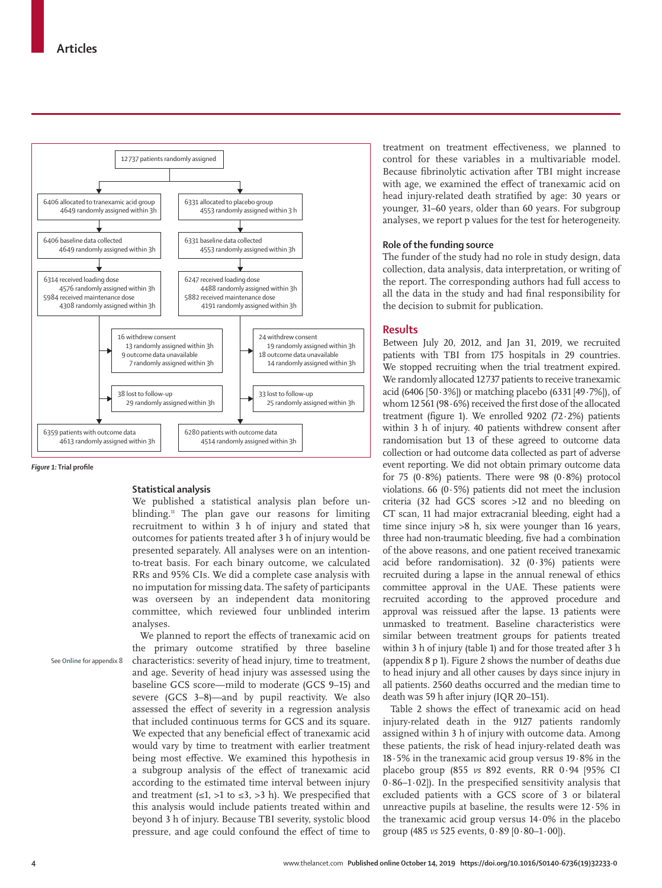

*Figure 1:* **Trial profile**

## **Statistical analysis**

We published a statistical analysis plan before un blinding.<sup>11</sup> The plan gave our reasons for limiting recruitment to within 3 h of injury and stated that outcomes for patients treated after 3 h of injury would be presented separately. All analyses were on an intentionto-treat basis. For each binary outcome, we calculated RRs and 95% CIs. We did a complete case analysis with no imputation for missing data. The safety of participants was overseen by an independent data monitoring committee, which reviewed four unblinded interim analyses.

See **Online** for appendix 8

We planned to report the effects of tranexamic acid on the primary outcome stratified by three baseline characteristics: severity of head injury, time to treatment, and age. Severity of head injury was assessed using the baseline GCS score—mild to moderate (GCS 9–15) and severe (GCS 3–8)—and by pupil reactivity. We also assessed the effect of severity in a regression analysis that included continuous terms for GCS and its square. We expected that any beneficial effect of tranexamic acid would vary by time to treatment with earlier treatment being most effective. We examined this hypothesis in a subgroup analysis of the effect of tranexamic acid according to the estimated time interval between injury and treatment ( $\leq 1$ ,  $>1$  to  $\leq 3$ ,  $>3$  h). We prespecified that this analysis would include patients treated within and beyond 3 h of injury. Because TBI severity, systolic blood pressure, and age could confound the effect of time to treatment on treatment effectiveness, we planned to control for these variables in a multivariable model. Because fibrinolytic activation after TBI might increase with age, we examined the effect of tranexamic acid on head injury-related death stratified by age: 30 years or younger, 31–60 years, older than 60 years. For subgroup analyses, we report p values for the test for heterogeneity.

#### **Role of the funding source**

The funder of the study had no role in study design, data collection, data analysis, data interpretation, or writing of the report. The corresponding authors had full access to all the data in the study and had final responsibility for the decision to submit for publication.

### **Results**

Between July 20, 2012, and Jan 31, 2019, we recruited patients with TBI from 175 hospitals in 29 countries. We stopped recruiting when the trial treatment expired. We randomly allocated 12737 patients to receive tranexamic acid (6406 [50·3%]) or matching placebo (6331 [49·7%]), of whom 12561 (98·6%) received the first dose of the allocated treatment (figure 1). We enrolled  $9202$  (72 $\cdot$ 2%) patients within 3 h of injury. 40 patients withdrew consent after randomisation but 13 of these agreed to outcome data collection or had outcome data collected as part of adverse event reporting. We did not obtain primary outcome data for 75  $(0.8\%)$  patients. There were 98  $(0.8\%)$  protocol violations. 66 (0·5%) patients did not meet the inclusion criteria (32 had GCS scores >12 and no bleeding on CT scan, 11 had major extracranial bleeding, eight had a time since injury >8 h, six were younger than 16 years, three had non-traumatic bleeding, five had a combination of the above reasons, and one patient received tranexamic acid before randomisation). 32  $(0.3\%)$  patients were recruited during a lapse in the annual renewal of ethics committee approval in the UAE. These patients were recruited according to the approved procedure and approval was reissued after the lapse. 13 patients were unmasked to treatment. Baseline characteristics were similar between treatment groups for patients treated within 3 h of injury (table 1) and for those treated after 3 h (appendix 8 p 1). Figure 2 shows the number of deaths due to head injury and all other causes by days since injury in all patients. 2560 deaths occurred and the median time to death was 59 h after injury (IQR 20–151).

Table 2 shows the effect of tranexamic acid on head injury-related death in the 9127 patients randomly assigned within 3 h of injury with outcome data. Among these patients, the risk of head injury-related death was 18·5% in the tranexamic acid group versus 19·8% in the placebo group (855 *vs* 892 events, RR 0·94 [95% CI 0·86–1·02]). In the prespecified sensitivity analysis that excluded patients with a GCS score of 3 or bilateral unreactive pupils at baseline, the results were 12·5% in the tranexamic acid group versus 14·0% in the placebo group (485 *vs* 525 events, 0·89 [0·80–1·00]).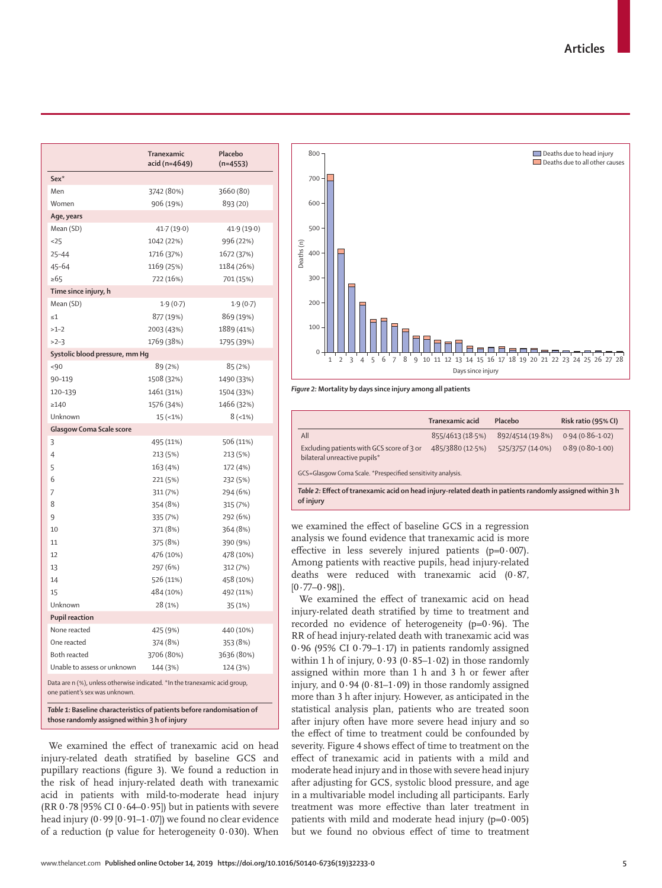|                                                                                                              | Tranexamic<br>acid (n=4649) | Placebo<br>$(n=4553)$ |  |  |  |  |  |  |  |
|--------------------------------------------------------------------------------------------------------------|-----------------------------|-----------------------|--|--|--|--|--|--|--|
| Sex <sup>*</sup>                                                                                             |                             |                       |  |  |  |  |  |  |  |
| Men                                                                                                          | 3742 (80%)                  | 3660 (80)             |  |  |  |  |  |  |  |
| Women                                                                                                        | 906 (19%)                   | 893 (20)              |  |  |  |  |  |  |  |
| Age, years                                                                                                   |                             |                       |  |  |  |  |  |  |  |
| Mean (SD)                                                                                                    | 41.7 (19.0)                 | 41.9 (19.0)           |  |  |  |  |  |  |  |
| 25                                                                                                           | 1042 (22%)                  | 996 (22%)             |  |  |  |  |  |  |  |
| $25 - 44$                                                                                                    | 1716 (37%)                  | 1672 (37%)            |  |  |  |  |  |  |  |
| $45 - 64$                                                                                                    | 1169 (25%)                  | 1184 (26%)            |  |  |  |  |  |  |  |
| $\geq 65$                                                                                                    | 722 (16%)                   | 701 (15%)             |  |  |  |  |  |  |  |
| Time since injury, h                                                                                         |                             |                       |  |  |  |  |  |  |  |
| Mean (SD)                                                                                                    | 1.9(0.7)                    | 1.9(0.7)              |  |  |  |  |  |  |  |
| $\leq 1$                                                                                                     | 877 (19%)                   | 869 (19%)             |  |  |  |  |  |  |  |
| $>1-2$                                                                                                       | 2003 (43%)                  | 1889 (41%)            |  |  |  |  |  |  |  |
| $>2-3$                                                                                                       | 1769 (38%)                  | 1795 (39%)            |  |  |  |  |  |  |  |
| Systolic blood pressure, mm Hq                                                                               |                             |                       |  |  |  |  |  |  |  |
| $-90$                                                                                                        | 89 (2%)                     | 85 (2%)               |  |  |  |  |  |  |  |
| 90-119                                                                                                       | 1508 (32%)                  | 1490 (33%)            |  |  |  |  |  |  |  |
| 120-139                                                                                                      | 1461 (31%)                  | 1504 (33%)            |  |  |  |  |  |  |  |
| >140                                                                                                         | 1576 (34%)                  | 1466 (32%)            |  |  |  |  |  |  |  |
| Unknown                                                                                                      | $15 (-1%)$                  | $8(-1%)$              |  |  |  |  |  |  |  |
| Glasgow Coma Scale score                                                                                     |                             |                       |  |  |  |  |  |  |  |
| 3                                                                                                            | 495 (11%)                   | 506 (11%)             |  |  |  |  |  |  |  |
| 4                                                                                                            | 213 (5%)                    | 213 (5%)              |  |  |  |  |  |  |  |
| 5                                                                                                            | 163 (4%)                    | 172 (4%)              |  |  |  |  |  |  |  |
| 6                                                                                                            | 221 (5%)                    | 232 (5%)              |  |  |  |  |  |  |  |
| 7                                                                                                            | 311 (7%)                    | 294 (6%)              |  |  |  |  |  |  |  |
| 8                                                                                                            | 354 (8%)                    | 315 (7%)              |  |  |  |  |  |  |  |
| 9                                                                                                            | 335 (7%)                    | 292 (6%)              |  |  |  |  |  |  |  |
| 10                                                                                                           | 371 (8%)                    | 364 (8%)              |  |  |  |  |  |  |  |
| 11                                                                                                           | 375 (8%)                    | 390 (9%)              |  |  |  |  |  |  |  |
| 12                                                                                                           | 476 (10%)                   | 478 (10%)             |  |  |  |  |  |  |  |
| 13                                                                                                           | 297 (6%)                    | 312 (7%)              |  |  |  |  |  |  |  |
| 14                                                                                                           | 526 (11%)                   | 458 (10%)             |  |  |  |  |  |  |  |
| 15                                                                                                           | 484 (10%)                   | 492 (11%)             |  |  |  |  |  |  |  |
| Unknown                                                                                                      | 28 (1%)                     | 35 (1%)               |  |  |  |  |  |  |  |
| <b>Pupil reaction</b>                                                                                        |                             |                       |  |  |  |  |  |  |  |
| None reacted                                                                                                 | 425 (9%)                    | 440 (10%)             |  |  |  |  |  |  |  |
| One reacted                                                                                                  | 374 (8%)                    | 353 (8%)              |  |  |  |  |  |  |  |
| Both reacted                                                                                                 | 3706 (80%)                  | 3636 (80%)            |  |  |  |  |  |  |  |
| Unable to assess or unknown                                                                                  | 144 (3%)                    | 124 (3%)              |  |  |  |  |  |  |  |
| Data are n (%), unless otherwise indicated. *In the tranexamic acid group,<br>one patient's sex was unknown. |                             |                       |  |  |  |  |  |  |  |
| Table 1: Baseline characteristics of patients before randomisation of                                        |                             |                       |  |  |  |  |  |  |  |

*Table 1:* **Baseline characteristics of patients before randomisation of those randomly assigned within 3 h of injury**

We examined the effect of tranexamic acid on head injury-related death stratified by baseline GCS and pupillary reactions (figure 3). We found a reduction in the risk of head injury-related death with tranexamic acid in patients with mild-to-moderate head injury (RR  $0.78$  [95% CI  $0.64 - 0.95$ ]) but in patients with severe head injury (0·99 [0·91–1·07]) we found no clear evidence of a reduction (p value for heterogeneity  $0.030$ ). When



#### *Figure 2:* **Mortality by days since injury among all patients**

| Tranexamic acid                                                                                                       | Placebo          | Risk ratio (95% CI) |  |  |  |  |  |
|-----------------------------------------------------------------------------------------------------------------------|------------------|---------------------|--|--|--|--|--|
| 855/4613 (18.5%)                                                                                                      | 892/4514 (19.8%) | $0.94(0.86 - 1.02)$ |  |  |  |  |  |
| 485/3880 (12.5%)                                                                                                      | 525/3757 (14.0%) | $0.89(0.80 - 1.00)$ |  |  |  |  |  |
| GCS=Glasgow Coma Scale. *Prespecified sensitivity analysis.                                                           |                  |                     |  |  |  |  |  |
| Table 2: Effect of tranexamic acid on head injury-related death in patients randomly assigned within 3 h<br>of injury |                  |                     |  |  |  |  |  |
|                                                                                                                       |                  |                     |  |  |  |  |  |

we examined the effect of baseline GCS in a regression analysis we found evidence that tranexamic acid is more effective in less severely injured patients  $(p=0.007)$ . Among patients with reactive pupils, head injury-related deaths were reduced with tranexamic acid (0·87,  $[0.77-0.98]$ .

We examined the effect of tranexamic acid on head injury-related death stratified by time to treatment and recorded no evidence of heterogeneity ( $p=0.96$ ). The RR of head injury-related death with tranexamic acid was 0·96 (95% CI 0·79–1·17) in patients randomly assigned within 1 h of injury,  $0.93$  ( $0.85-1.02$ ) in those randomly assigned within more than 1 h and 3 h or fewer after injury, and  $0.94$  ( $0.81-1.09$ ) in those randomly assigned more than 3 h after injury. However, as anticipated in the statistical analysis plan, patients who are treated soon after injury often have more severe head injury and so the effect of time to treatment could be confounded by severity. Figure 4 shows effect of time to treatment on the effect of tranexamic acid in patients with a mild and moderate head injury and in those with severe head injury after adjusting for GCS, systolic blood pressure, and age in a multivariable model including all participants. Early treatment was more effective than later treatment in patients with mild and moderate head injury  $(p=0.005)$ but we found no obvious effect of time to treatment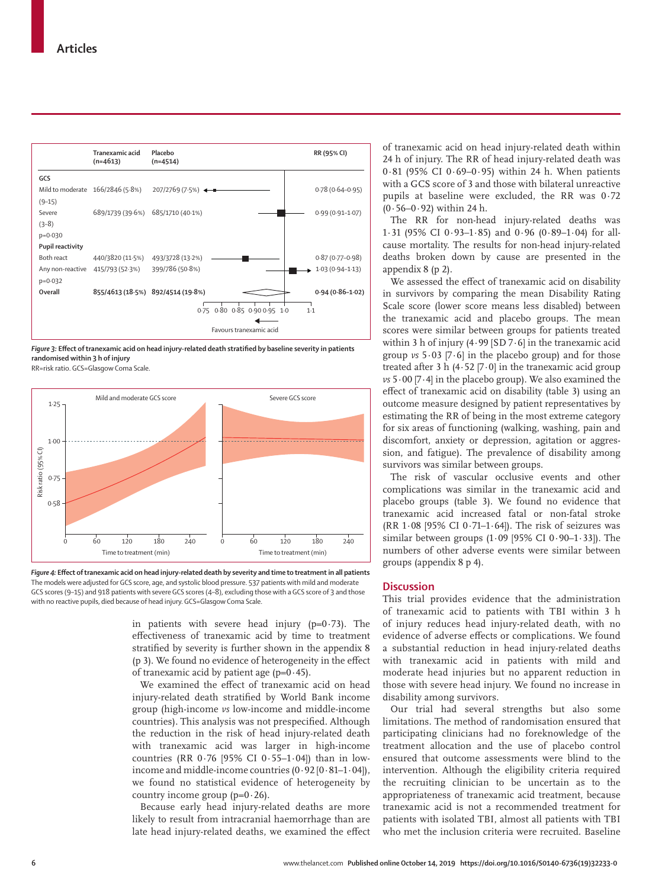

*Figure 3:* **Effect of tranexamic acid on head injury-related death stratified by baseline severity in patients randomised within 3 h of injury**

RR=risk ratio. GCS=Glasgow Coma Scale.





in patients with severe head injury ( $p=0.73$ ). The effectiveness of tranexamic acid by time to treatment stratified by severity is further shown in the appendix 8 (p 3). We found no evidence of heterogeneity in the effect of tranexamic acid by patient age  $(p=0.45)$ .

We examined the effect of tranexamic acid on head injury-related death stratified by World Bank income group (high-income *vs* low-income and middle-income countries). This analysis was not prespecified. Although the reduction in the risk of head injury-related death with tranexamic acid was larger in high-income countries (RR  $0.76$  [95% CI  $0.55-1.04$ ]) than in lowincome and middle-income countries  $(0.92 \, [0.81 - 1.04])$ , we found no statistical evidence of heterogeneity by country income group ( $p=0.26$ ).

Because early head injury-related deaths are more likely to result from intracranial haemorrhage than are late head injury-related deaths, we examined the effect of tranexamic acid on head injury-related death within 24 h of injury. The RR of head injury-related death was  $0.81$  (95% CI  $0.69-0.95$ ) within 24 h. When patients with a GCS score of 3 and those with bilateral unreactive pupils at baseline were excluded, the RR was 0·72  $(0.56 - 0.92)$  within 24 h.

The RR for non-head injury-related deaths was 1·31 (95% CI 0·93–1·85) and 0·96 (0·89–1·04) for allcause mortality. The results for non-head injury-related deaths broken down by cause are presented in the appendix 8 (p 2).

We assessed the effect of tranexamic acid on disability in survivors by comparing the mean Disability Rating Scale score (lower score means less disabled) between the tranexamic acid and placebo groups. The mean scores were similar between groups for patients treated within 3 h of injury (4·99 [SD 7·6] in the tranexamic acid group *vs* 5·03 [7·6] in the placebo group) and for those treated after 3 h  $(4.52 \, [7.0]$  in the tranexamic acid group *vs* 5·00 [7·4] in the placebo group). We also examined the effect of tranexamic acid on disability (table 3) using an outcome measure designed by patient representatives by estimating the RR of being in the most extreme category for six areas of functioning (walking, washing, pain and discomfort, anxiety or depression, agitation or aggression, and fatigue). The prevalence of disability among survivors was similar between groups.

The risk of vascular occlusive events and other complications was similar in the tranexamic acid and placebo groups (table 3). We found no evidence that tranexamic acid increased fatal or non-fatal stroke (RR  $1.08$  [95% CI  $0.71-1.64$ ]). The risk of seizures was similar between groups  $(1.09)$  [95% CI  $0.90-1.33$ ]). The numbers of other adverse events were similar between groups (appendix 8 p 4).

## **Discussion**

This trial provides evidence that the administration of tranexamic acid to patients with TBI within 3 h of injury reduces head injury-related death, with no evidence of adverse effects or complications. We found a substantial reduction in head injury-related deaths with tranexamic acid in patients with mild and moderate head injuries but no apparent reduction in those with severe head injury. We found no increase in disability among survivors.

Our trial had several strengths but also some limitations. The method of randomisation ensured that participating clinicians had no foreknowledge of the treatment allocation and the use of placebo control ensured that outcome assessments were blind to the intervention. Although the eligibility criteria required the recruiting clinician to be uncertain as to the appropriateness of tranexamic acid treatment, because tranexamic acid is not a recommended treatment for patients with isolated TBI, almost all patients with TBI who met the inclusion criteria were recruited. Baseline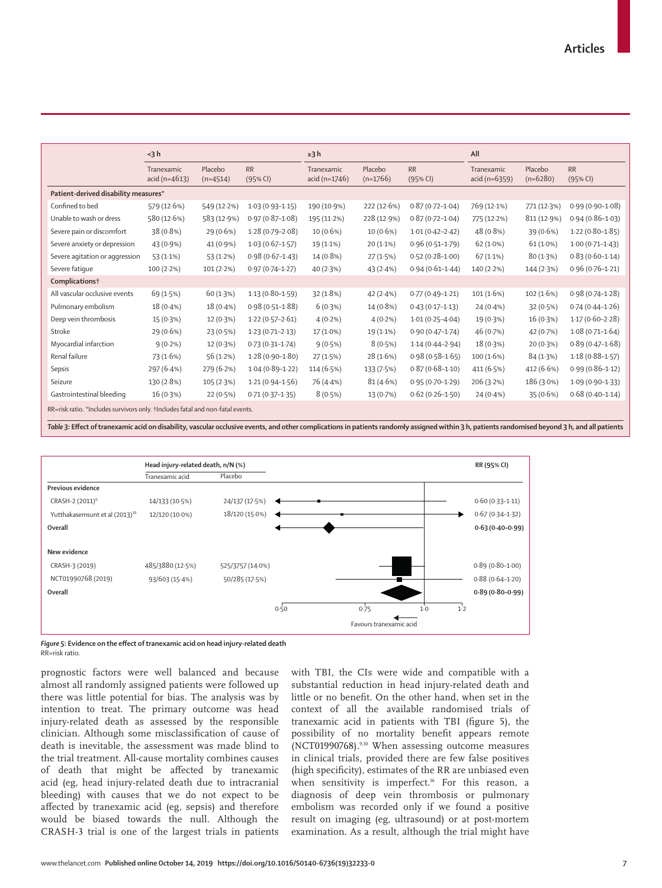|                                                                                | $<$ 3 $h$                     |                       |                       | $\geq$ 3 h                  |                       | All                   |                                 |                       |                       |  |
|--------------------------------------------------------------------------------|-------------------------------|-----------------------|-----------------------|-----------------------------|-----------------------|-----------------------|---------------------------------|-----------------------|-----------------------|--|
|                                                                                | Tranexamic<br>$acid (n=4613)$ | Placebo<br>$(n=4514)$ | <b>RR</b><br>(95% CI) | Tranexamic<br>acid (n=1746) | Placebo<br>$(n=1766)$ | <b>RR</b><br>(95% CI) | Tranexamic<br>acid ( $n=6359$ ) | Placebo<br>$(n=6280)$ | <b>RR</b><br>(95% CI) |  |
| Patient-derived disability measures*                                           |                               |                       |                       |                             |                       |                       |                                 |                       |                       |  |
| Confined to bed                                                                | 579 (12.6%)                   | 549 (12-2%)           | $1.03(0.93 - 1.15)$   | 190 (10.9%)                 | 222 (12.6%)           | $0.87(0.72 - 1.04)$   | 769 (12.1%)                     | 771 (12.3%)           | $0.99(0.90 - 1.08)$   |  |
| Unable to wash or dress                                                        | 580 (12.6%)                   | 583 (12.9%)           | $0.97(0.87 - 1.08)$   | 195 (11.2%)                 | 228 (12.9%)           | $0.87(0.72 - 1.04)$   | 775 (12.2%)                     | 811 (12.9%)           | $0.94(0.86 - 1.03)$   |  |
| Severe pain or discomfort                                                      | 38 (0.8%)                     | $29(0.6\%)$           | $1.28(0.79-2.08)$     | $10(0.6\%)$                 | $10(0.6\%)$           | $1.01(0.42 - 2.42)$   | 48 (0.8%)                       | 39(0.6%)              | $1.22(0.80-1.85)$     |  |
| Severe anxiety or depression                                                   | $43(0.9\%)$                   | 41 (0.9%)             | $1.03(0.67 - 1.57)$   | 19 (1.1%)                   | $20(1.1\%)$           | $0.96(0.51 - 1.79)$   | $62(1.0\%)$                     | $61(1.0\%)$           | $1.00(0.71 - 1.43)$   |  |
| Severe agitation or aggression                                                 | 53(1.1%)                      | 53(1.2%)              | $0.98(0.67-1.43)$     | $14(0.8\%)$                 | 27(1.5%)              | $0.52(0.28 - 1.00)$   | $67(1.1\%)$                     | 80(1.3%)              | $0.83(0.60 - 1.14)$   |  |
| Severe fatique                                                                 | $100(2.2\%)$                  | $101(2.2\%)$          | $0.97(0.74 - 1.27)$   | 40(2.3%)                    | 43 $(2.4%)$           | $0.94(0.61 - 1.44)$   | $140(2.2\%)$                    | 144 (2.3%)            | $0.96(0.76 - 1.21)$   |  |
| Complications <sup>†</sup>                                                     |                               |                       |                       |                             |                       |                       |                                 |                       |                       |  |
| All vascular occlusive events                                                  | 69 (1.5%)                     | 60(1.3%)              | $1.13(0.80 - 1.59)$   | 32(1.8%)                    | 42 $(2.4%)$           | $0.77(0.49 - 1.21)$   | 101(1.6%)                       | 102(1.6%)             | $0.98(0.74 - 1.28)$   |  |
| Pulmonary embolism                                                             | $18(0.4\%)$                   | $18(0.4\%)$           | $0.98(0.51 - 1.88)$   | $6(0.3\%)$                  | $14(0.8\%)$           | $0.43(0.17 - 1.13)$   | $24(0.4\%)$                     | 32(0.5%)              | $0.74(0.44 - 1.26)$   |  |
| Deep vein thrombosis                                                           | 15(0.3%)                      | 12 (0.3%)             | $1.22(0.57-2.61)$     | $4(0.2\%)$                  | $4(0.2\%)$            | $1.01(0.25 - 4.04)$   | 19 (0.3%)                       | 16(0.3%)              | $1.17(0.60 - 2.28)$   |  |
| Stroke                                                                         | 29(0.6%)                      | 23(0.5%)              | $1.23(0.71-2.13)$     | $17(1.0\%)$                 | 19 (1.1%)             | $0.90(0.47 - 1.74)$   | 46 (0.7%)                       | 42 (0.7%)             | $1.08(0.71 - 1.64)$   |  |
| Myocardial infarction                                                          | $9(0.2\%)$                    | 12(0.3%)              | $0.73(0.31 - 1.74)$   | 9(0.5%)                     | $8(0.5\%)$            | $1.14(0.44 - 2.94)$   | $18(0.3\%)$                     | 20(0.3%)              | $0.89(0.47 - 1.68)$   |  |
| Renal failure                                                                  | 73 (1.6%)                     | 56 $(1.2%)$           | $1.28(0.90 - 1.80)$   | 27(1.5%)                    | 28(1.6%)              | $0.98(0.58 - 1.65)$   | 100(1.6%)                       | 84 (1.3%)             | $1.18(0.88 - 1.57)$   |  |
| Sepsis                                                                         | 297 (6.4%)                    | 279 (6.2%)            | $1.04(0.89 - 1.22)$   | 114(6.5%)                   | 133 (7.5%)            | $0.87(0.68 - 1.10)$   | 411 (6.5%)                      | 412 $(6.6%)$          | $0.99(0.86 - 1.12)$   |  |
| Seizure                                                                        | 130 (2.8%)                    | 105 (2.3%)            | $1.21(0.94 - 1.56)$   | 76 (4.4%)                   | 81(4.6%)              | $0.95(0.70 - 1.29)$   | $206(3.2\%)$                    | 186 (3.0%)            | $1.09(0.90 - 1.33)$   |  |
| Gastrointestinal bleeding                                                      | 16(0.3%)                      | 22(0.5%)              | $0.71(0.37 - 1.35)$   | 8(0.5%)                     | 13 (0.7%)             | $0.62(0.26 - 1.50)$   | $24(0.4\%)$                     | 35(0.6%)              | $0.68(0.40 - 1.14)$   |  |
| RR=risk ratio. *Includes survivors only. †Includes fatal and non-fatal events. |                               |                       |                       |                             |                       |                       |                                 |                       |                       |  |

*Table 3:* **Effect of tranexamic acid on disability, vascular occlusive events, and other complications in patients randomly assigned within 3 h, patients randomised beyond 3 h, and all patients**



*Figure 5***: Evidence on the effect of tranexamic acid on head injury-related death** RR=risk ratio.

prognostic factors were well balanced and because almost all randomly assigned patients were followed up there was little potential for bias. The analysis was by intention to treat. The primary outcome was head injury-related death as assessed by the responsible clinician. Although some misclassification of cause of death is inevitable, the assessment was made blind to the trial treatment. All-cause mortality combines causes of death that might be affected by tranexamic acid (eg, head injury-related death due to intracranial bleeding) with causes that we do not expect to be affected by tranexamic acid (eg, sepsis) and therefore would be biased towards the null. Although the CRASH-3 trial is one of the largest trials in patients with TBI, the CIs were wide and compatible with a substantial reduction in head injury-related death and little or no benefit. On the other hand, when set in the context of all the available randomised trials of tranexamic acid in patients with TBI (figure 5), the possibility of no mortality benefit appears remote (NCT01990768).9,10 When assessing outcome measures in clinical trials, provided there are few false positives (high specificity), estimates of the RR are unbiased even when sensitivity is imperfect.<sup>16</sup> For this reason, a diagnosis of deep vein thrombosis or pulmonary embolism was recorded only if we found a positive result on imaging (eg, ultrasound) or at post-mortem examination. As a result, although the trial might have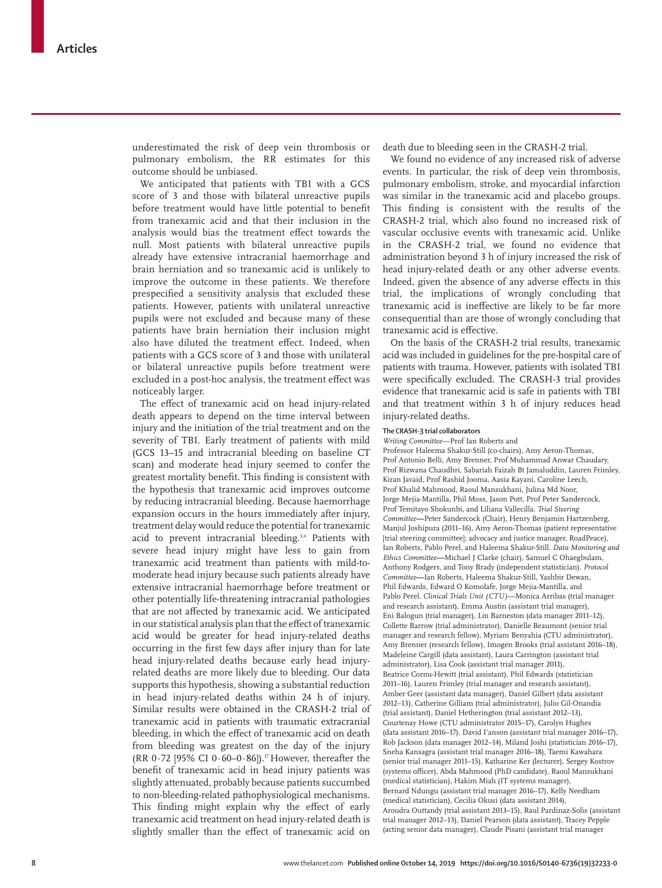underestimated the risk of deep vein thrombosis or pulmonary embolism, the RR estimates for this outcome should be unbiased.

We anticipated that patients with TBI with a GCS score of 3 and those with bilateral unreactive pupils before treatment would have little potential to benefit from tranexamic acid and that their inclusion in the analysis would bias the treatment effect towards the null. Most patients with bilateral unreactive pupils already have extensive intracranial haemorrhage and brain herniation and so tranexamic acid is unlikely to improve the outcome in these patients. We therefore prespecified a sensitivity analysis that excluded these patients. However, patients with unilateral unreactive pupils were not excluded and because many of these patients have brain herniation their inclusion might also have diluted the treatment effect. Indeed, when patients with a GCS score of 3 and those with unilateral or bilateral unreactive pupils before treatment were excluded in a post-hoc analysis, the treatment effect was noticeably larger.

The effect of tranexamic acid on head injury-related death appears to depend on the time interval between injury and the initiation of the trial treatment and on the severity of TBI. Early treatment of patients with mild (GCS 13–15 and intracranial bleeding on baseline CT scan) and moderate head injury seemed to confer the greatest mortality benefit. This finding is consistent with the hypothesis that tranexamic acid improves outcome by reducing intracranial bleeding. Because haemorrhage expansion occurs in the hours immediately after injury, treatment delay would reduce the potential for tranexamic acid to prevent intracranial bleeding.<sup>3,4</sup> Patients with severe head injury might have less to gain from tranexamic acid treatment than patients with mild-tomoderate head injury because such patients already have extensive intracranial haemorrhage before treatment or other potentially life-threatening intracranial pathologies that are not affected by tranexamic acid. We anticipated in our statistical analysis plan that the effect of tranexamic acid would be greater for head injury-related deaths occurring in the first few days after injury than for late head injury-related deaths because early head injuryrelated deaths are more likely due to bleeding. Our data supports this hypothesis, showing a substantial reduction in head injury-related deaths within 24 h of injury. Similar results were obtained in the CRASH-2 trial of tranexamic acid in patients with traumatic extracranial bleeding, in which the effect of tranexamic acid on death from bleeding was greatest on the day of the injury (RR 0.72 [95% CI 0.60-0.86]).<sup>17</sup> However, thereafter the benefit of tranexamic acid in head injury patients was slightly attenuated, probably because patients succumbed to non-bleeding-related pathophysiological mechanisms. This finding might explain why the effect of early tranexamic acid treatment on head injury-related death is slightly smaller than the effect of tranexamic acid on

death due to bleeding seen in the CRASH-2 trial.

We found no evidence of any increased risk of adverse events. In particular, the risk of deep vein thrombosis, pulmonary embolism, stroke, and myocardial infarction was similar in the tranexamic acid and placebo groups. This finding is consistent with the results of the CRASH-2 trial, which also found no increased risk of vascular occlusive events with tranexamic acid. Unlike in the CRASH-2 trial, we found no evidence that administration beyond 3 h of injury increased the risk of head injury-related death or any other adverse events. Indeed, given the absence of any adverse effects in this trial, the implications of wrongly concluding that tranexamic acid is ineffective are likely to be far more consequential than are those of wrongly concluding that tranexamic acid is effective.

On the basis of the CRASH-2 trial results, tranexamic acid was included in guidelines for the pre-hospital care of patients with trauma. However, patients with isolated TBI were specifically excluded. The CRASH-3 trial provides evidence that tranexamic acid is safe in patients with TBI and that treatment within 3 h of injury reduces head injury-related deaths.

#### **The CRASH-3 trial collaborators**

*Writing Committee*—Prof Ian Roberts and

Professor Haleema Shakur-Still (co-chairs), Amy Aeron-Thomas, Prof Antonio Belli, Amy Brenner, Prof Muhammad Anwar Chaudary, Prof Rizwana Chaudhri, Sabariah Faizah Bt Jamaluddin, Lauren Frimley, Kiran Javaid, Prof Rashid Jooma, Aasia Kayani, Caroline Leech, Prof Khalid Mahmood, Raoul Mansukhani, Julina Md Noor, Jorge Mejia-Mantilla, Phil Moss, Jason Pott, Prof Peter Sandercock, Prof Temitayo Shokunbi, and Liliana Vallecilla. *Trial Steering Committee***—**Peter Sandercock (Chair), Henry Benjamin Hartzenberg, Manjul Joshipura (2011–16), Amy Aeron-Thomas (patient representative [trial steering committee]; advocacy and justice manager, RoadPeace), Ian Roberts, Pablo Perel, and Haleema Shakur-Still. *Data Monitoring and Ethics Committee***—**Michael J Clarke (chair), Samuel C Ohaegbulam, Anthony Rodgers, and Tony Brady (independent statistician). *Protocol Committee***—**Ian Roberts, Haleema Shakur-Still, Yashbir Dewan, Phil Edwards, Edward O Komolafe, Jorge Mejia-Mantilla, and Pablo Perel. *Clinical Trials Unit (CTU)*—Monica Arribas (trial manager and research assistant), Emma Austin (assistant trial manager), Eni Balogun (trial manager), Lin Barneston (data manager 2011–12), Collette Barrow (trial administrator), Danielle Beaumont (senior trial manager and research fellow), Myriam Benyahia (CTU administrator), Amy Brenner (research fellow), Imogen Brooks (trial assistant 2016–18), Madeleine Cargill (data assistant), Laura Carrington (assistant trial administrator), Lisa Cook (assistant trial manager 2011), Beatrice Cornu-Hewitt (trial assistant), Phil Edwards (statistician 2011–16), Lauren Frimley (trial manager and research assistant), Amber Geer (assistant data manager), Daniel Gilbert (data assistant 2012–13), Catherine Gilliam (trial administrator), Julio Gil-Onandia (trial assistant), Daniel Hetherington (trial assistant 2012–13), Courtenay Howe (CTU administrator 2015–17), Carolyn Hughes (data assistant 2016–17), David I'anson (assistant trial manager 2016–17), Rob Jackson (data manager 2012–14), Miland Joshi (statistician 2016–17), Sneha Kansagra (assistant trial manager 2016–18), Taemi Kawahara (senior trial manager 2011–15), Katharine Ker (lecturer), Sergey Kostrov (systems officer), Abda Mahmood (PhD candidate), Raoul Mansukhani (medical statistician), Hakim Miah (IT systems manager), Bernard Ndungu (assistant trial manager 2016–17), Kelly Needham (medical statistician), Cecilia Okusi (data assistant 2014), Aroudra Outtandy (trial assistant 2013–15), Raul Pardinaz-Solis (assistant trial manager 2012–13), Daniel Pearson (data assistant), Tracey Pepple (acting senior data manager), Claude Pisani (assistant trial manager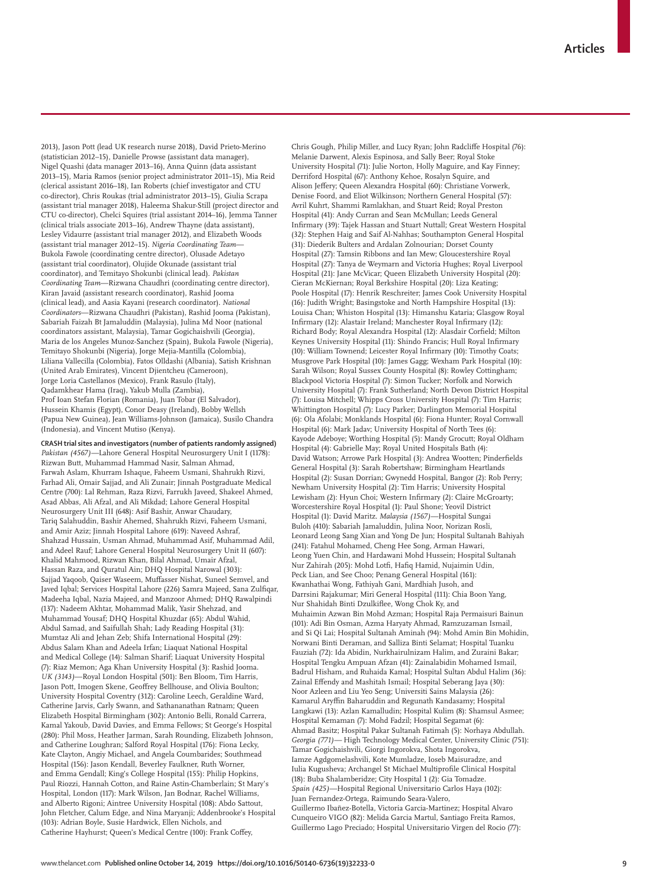2013), Jason Pott (lead UK research nurse 2018), David Prieto-Merino (statistician 2012–15), Danielle Prowse (assistant data manager), Nigel Quashi (data manager 2013–16), Anna Quinn (data assistant 2013–15), Maria Ramos (senior project administrator 2011–15), Mia Reid (clerical assistant 2016–18), Ian Roberts (chief investigator and CTU co-director), Chris Roukas (trial administrator 2013–15), Giulia Scrapa (assistant trial manager 2018), Haleema Shakur-Still (project director and CTU co-director), Chelci Squires (trial assistant 2014–16), Jemma Tanner (clinical trials associate 2013–16), Andrew Thayne (data assistant), Lesley Vidaurre (assistant trial manager 2012), and Elizabeth Woods (assistant trial manager 2012–15). *Nigeria Coordinating Team*— Bukola Fawole (coordinating centre director), Olusade Adetayo (assistant trial coordinator), Olujide Okunade (assistant trial coordinator), and Temitayo Shokunbi (clinical lead). *Pakistan Coordinating Team*—Rizwana Chaudhri (coordinating centre director), Kiran Javaid (assistant research coordinator), Rashid Jooma (clinical lead), and Aasia Kayani (research coordinator). *National Coordinators*—Rizwana Chaudhri (Pakistan), Rashid Jooma (Pakistan), Sabariah Faizah Bt Jamaluddin (Malaysia), Julina Md Noor (national coordinators assistant, Malaysia), Tamar Gogichaishvili (Georgia), Maria de los Angeles Munoz-Sanchez (Spain), Bukola Fawole (Nigeria), Temitayo Shokunbi (Nigeria), Jorge Mejia-Mantilla (Colombia), Liliana Vallecilla (Colombia), Fatos Olldashi (Albania), Satish Krishnan (United Arab Emirates), Vincent Djientcheu (Cameroon), Jorge Loria Castellanos (Mexico), Frank Rasulo (Italy), Qadamkhear Hama (Iraq), Yakub Mulla (Zambia), Prof Ioan Stefan Florian (Romania), Juan Tobar (El Salvador), Hussein Khamis (Egypt), Conor Deasy (Ireland), Bobby Wellsh (Papua New Guinea), Jean Williams-Johnson (Jamaica), Susilo Chandra (Indonesia), and Vincent Mutiso (Kenya).

**CRASH trial sites and investigators (number of patients randomly assigned)**  *Pakistan (4567)—*Lahore General Hospital Neurosurgery Unit I (1178): Rizwan Butt, Muhammad Hammad Nasir, Salman Ahmad, Farwah Aslam, Khurram Ishaque, Faheem Usmani, Shahrukh Rizvi, Farhad Ali, Omair Sajjad, and Ali Zunair; Jinnah Postgraduate Medical Centre (700): Lal Rehman, Raza Rizvi, Farrukh Javeed, Shakeel Ahmed, Asad Abbas, Ali Afzal, and Ali Mikdad; Lahore General Hospital Neurosurgery Unit III (648): Asif Bashir, Anwar Chaudary, Tariq Salahuddin, Bashir Ahemed, Shahrukh Rizvi, Faheem Usmani, and Amir Aziz; Jinnah Hospital Lahore (619): Naveed Ashraf, Shahzad Hussain, Usman Ahmad, Muhammad Asif, Muhammad Adil, and Adeel Rauf; Lahore General Hospital Neurosurgery Unit II (607): Khalid Mahmood, Rizwan Khan, Bilal Ahmad, Umair Afzal, Hassan Raza, and Quratul Ain; DHQ Hospital Narowal (303): Sajjad Yaqoob, Qaiser Waseem, Muffasser Nishat, Suneel Semvel, and Javed Iqbal; Services Hospital Lahore (226) Samra Majeed, Sana Zulfiqar, Madeeha Iqbal, Nazia Majeed, and Manzoor Ahmed; DHQ Rawalpindi (137): Nadeem Akhtar, Mohammad Malik, Yasir Shehzad, and Muhammad Yousaf; DHQ Hospital Khuzdar (65): Abdul Wahid, Abdul Samad, and Saifullah Shah; Lady Reading Hospital (31): Mumtaz Ali and Jehan Zeb; Shifa International Hospital (29): Abdus Salam Khan and Adeela Irfan; Liaquat National Hospital and Medical College (14): Salman Sharif; Liaquat University Hospital (7): Riaz Memon; Aga Khan University Hospital (3): Rashid Jooma. *UK (3143)*—Royal London Hospital (501): Ben Bloom, Tim Harris, Jason Pott, Imogen Skene, Geoffrey Bellhouse, and Olivia Boulton; University Hospital Coventry (312): Caroline Leech, Geraldine Ward, Catherine Jarvis, Carly Swann, and Sathananathan Ratnam; Queen Elizabeth Hospital Birmingham (302): Antonio Belli, Ronald Carrera, Kamal Yakoub, David Davies, and Emma Fellows; St George's Hospital (280): Phil Moss, Heather Jarman, Sarah Rounding, Elizabeth Johnson, and Catherine Loughran; Salford Royal Hospital (176): Fiona Lecky, Kate Clayton, Angiy Michael, and Angela Coumbarides; Southmead Hospital (156): Jason Kendall, Beverley Faulkner, Ruth Worner, and Emma Gendall; King's College Hospital (155): Philip Hopkins, Paul Riozzi, Hannah Cotton, and Raine Astin-Chamberlain; St Mary's Hospital, London (117): Mark Wilson, Jan Bodnar, Rachel Williams, and Alberto Rigoni; Aintree University Hospital (108): Abdo Sattout, John Fletcher, Calum Edge, and Nina Maryanji; Addenbrooke's Hospital (103): Adrian Boyle, Susie Hardwick, Ellen Nichols, and Catherine Hayhurst; Queen's Medical Centre (100): Frank Coffey,

Chris Gough, Philip Miller, and Lucy Ryan; John Radcliffe Hospital (76): Melanie Darwent, Alexis Espinosa, and Sally Beer; Royal Stoke University Hospital (71): Julie Norton, Holly Maguire, and Kay Finney; Derriford Hospital (67): Anthony Kehoe, Rosalyn Squire, and Alison Jeffery; Queen Alexandra Hospital (60): Christiane Vorwerk, Denise Foord, and Eliot Wilkinson; Northern General Hospital (57): Avril Kuhrt, Shammi Ramlakhan, and Stuart Reid; Royal Preston Hospital (41): Andy Curran and Sean McMullan; Leeds General Infirmary (39): Tajek Hassan and Stuart Nuttall; Great Western Hospital (32): Stephen Haig and Saif Al-Nahhas; Southampton General Hospital (31): Diederik Bulters and Ardalan Zolnourian; Dorset County Hospital (27): Tamsin Ribbons and Ian Mew; Gloucestershire Royal Hospital (27): Tanya de Weymarn and Victoria Hughes; Royal Liverpool Hospital (21): Jane McVicar; Queen Elizabeth University Hospital (20): Cieran McKiernan; Royal Berkshire Hospital (20): Liza Keating; Poole Hospital (17): Henrik Reschreiter; James Cook University Hospital (16): Judith Wright; Basingstoke and North Hampshire Hospital (13): Louisa Chan; Whiston Hospital (13): Himanshu Kataria; Glasgow Royal Infirmary (12): Alastair Ireland; Manchester Royal Infirmary (12): Richard Body; Royal Alexandra Hospital (12): Alasdair Corfield; Milton Keynes University Hospital (11): Shindo Francis; Hull Royal Infirmary (10): William Townend; Leicester Royal Infirmary (10): Timothy Coats; Musgrove Park Hospital (10): James Gagg; Wexham Park Hospital (10): Sarah Wilson; Royal Sussex County Hospital (8): Rowley Cottingham; Blackpool Victoria Hospital (7): Simon Tucker; Norfolk and Norwich University Hospital (7): Frank Sutherland; North Devon District Hospital (7): Louisa Mitchell; Whipps Cross University Hospital (7): Tim Harris; Whittington Hospital (7): Lucy Parker; Darlington Memorial Hospital (6): Ola Afolabi; Monklands Hospital (6): Fiona Hunter; Royal Cornwall Hospital (6): Mark Jadav; University Hospital of North Tees (6): Kayode Adeboye; Worthing Hospital (5): Mandy Grocutt; Royal Oldham Hospital (4): Gabrielle May; Royal United Hospitals Bath (4): David Watson; Arrowe Park Hospital (3): Andrea Wootten; Pinderfields General Hospital (3): Sarah Robertshaw; Birmingham Heartlands Hospital (2): Susan Dorrian; Gwynedd Hospital, Bangor (2): Rob Perry; Newham University Hospital (2): Tim Harris; University Hospital Lewisham (2): Hyun Choi; Western Infirmary (2): Claire McGroarty; Worcestershire Royal Hospital (1): Paul Shone; Yeovil District Hospital (1): David Maritz. *Malaysia (1567)—*Hospital Sungai Buloh (410): Sabariah Jamaluddin, Julina Noor, Norizan Rosli, Leonard Leong Sang Xian and Yong De Jun; Hospital Sultanah Bahiyah (241): Fatahul Mohamed, Cheng Hee Song, Arman Hawari, Leong Yuen Chin, and Hardawani Mohd Hussein; Hospital Sultanah Nur Zahirah (205): Mohd Lotfi, Hafiq Hamid, Nujaimin Udin, Peck Lian, and See Choo; Penang General Hospital (161): Kwanhathai Wong, Fathiyah Gani, Mardhiah Jusoh, and Darrsini Rajakumar; Miri General Hospital (111): Chia Boon Yang, Nur Shahidah Binti Dzulkiflee, Wong Chok Ky, and Muhaimin Azwan Bin Mohd Azman; Hospital Raja Permaisuri Bainun (101): Adi Bin Osman, Azma Haryaty Ahmad, Ramzuzaman Ismail, and Si Qi Lai; Hospital Sultanah Aminah (94): Mohd Amin Bin Mohidin, Norwani Binti Deraman, and Salliza Binti Selamat; Hospital Tuanku Fauziah (72): Ida Abidin, Nurkhairulnizam Halim, and Zuraini Bakar; Hospital Tengku Ampuan Afzan (41): Zainalabidin Mohamed Ismail, Badrul Hisham, and Ruhaida Kamal; Hospital Sultan Abdul Halim (36): Zainal Effendy and Mashitah Ismail; Hospital Seberang Jaya (30): Noor Azleen and Liu Yeo Seng; Universiti Sains Malaysia (26): Kamarul Aryffin Baharuddin and Regunath Kandasamy; Hospital Langkawi (13): Azlan Kamalludin; Hospital Kulim (8): Shamsul Asmee; Hospital Kemaman (7): Mohd Fadzil; Hospital Segamat (6): Ahmad Basitz; Hospital Pakar Sultanah Fatimah (5): Norhaya Abdullah. *Georgia (771)—* High Technology Medical Center, University Clinic (751): Tamar Gogichaishvili, Giorgi Ingorokva, Shota Ingorokva, Iamze Agdgomelashvili, Kote Mumladze, Ioseb Maisuradze, and Iulia Kugusheva; Archangel St Michael Multiprofile Clinical Hospital (18): Buba Shalamberidze; City Hospital 1 (2): Gia Tomadze. *Spain (425)—*Hospital Regional Universitario Carlos Haya (102): Juan Fernandez-Ortega, Raimundo Seara-Valero, Guillermo Ibañez-Botella, Victoria Garcia-Martinez; Hospital Alvaro Cunqueiro VIGO (82): Melida Garcia Martul, Santiago Freita Ramos, Guillermo Lago Preciado; Hospital Universitario Virgen del Rocio (77):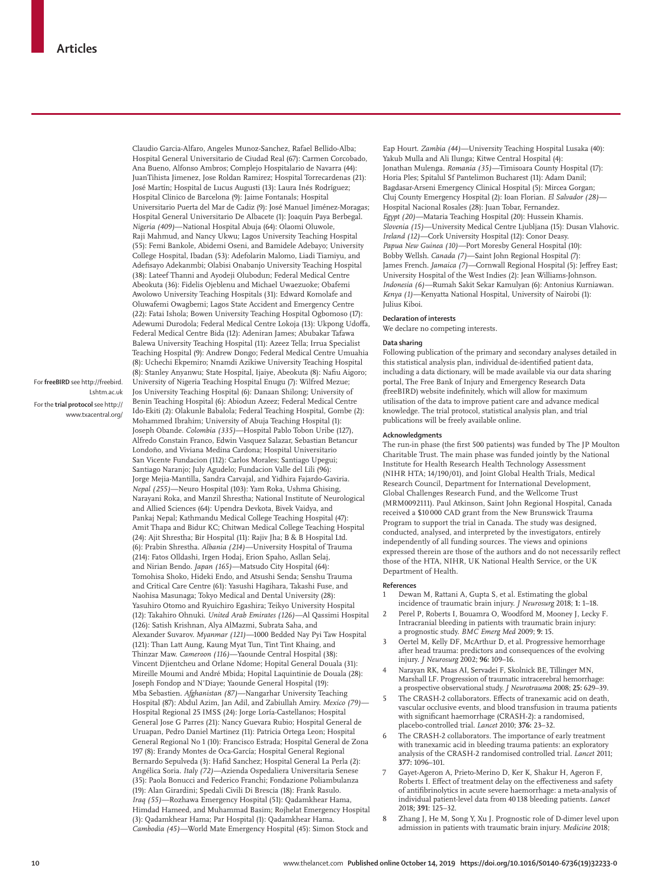For **freeBIRD** see http://freebird. Lshtm.ac.uk

For the **trial protocol** see http:// www.txacentral.org/ Claudio Garcia-Alfaro, Angeles Munoz-Sanchez, Rafael Bellido-Alba; Hospital General Universitario de Ciudad Real (67): Carmen Corcobado, Ana Bueno, Alfonso Ambros; Complejo Hospitalario de Navarra (44): JuanTihista Jimenez, Jose Roldan Ramirez; Hospital Torrecardenas (21): José Martín; Hospital de Lucus Augusti (13): Laura Inés Rodríguez; Hospital Clinico de Barcelona (9): Jaime Fontanals; Hospital Universitario Puerta del Mar de Cadiz (9): José Manuel Jiménez-Moragas; Hospital General Universitario De Albacete (1): Joaquín Paya Berbegal. *Nigeria (409)*—National Hospital Abuja (64): Olaomi Oluwole, Raji Mahmud, and Nancy Ukwu; Lagos University Teaching Hospital (55): Femi Bankole, Abidemi Oseni, and Bamidele Adebayo; University College Hospital, Ibadan (53): Adefolarin Malomo, Liadi Tiamiyu, and Adefisayo Adekanmbi; Olabisi Onabanjo University Teaching Hospital (38): Lateef Thanni and Ayodeji Olubodun; Federal Medical Centre Abeokuta (36): Fidelis Ojeblenu and Michael Uwaezuoke; Obafemi Awolowo University Teaching Hospitals (31): Edward Komolafe and Oluwafemi Owagbemi; Lagos State Accident and Emergency Centre (22): Fatai Ishola; Bowen University Teaching Hospital Ogbomoso (17): Adewumi Durodola; Federal Medical Centre Lokoja (13): Ukpong Udoffa, Federal Medical Centre Bida (12): Adeniran James; Abubakar Tafawa Balewa University Teaching Hospital (11): Azeez Tella; Irrua Specialist Teaching Hospital (9): Andrew Dongo; Federal Medical Centre Umuahia (8): Uchechi Ekpemiro; Nnamdi Azikiwe University Teaching Hospital (8): Stanley Anyanwu; State Hospital, Ijaiye, Abeokuta (8): Nafiu Aigoro; University of Nigeria Teaching Hospital Enugu (7): Wilfred Mezue; Jos University Teaching Hospital (6): Danaan Shilong; University of Benin Teaching Hospital (6): Abiodun Azeez; Federal Medical Centre Ido-Ekiti (2): Olakunle Babalola; Federal Teaching Hospital, Gombe (2): Mohammed Ibrahim; University of Abuja Teaching Hospital (1): Joseph Obande. *Colombia (335)—*Hospital Pablo Tobon Uribe (127), Alfredo Constain Franco, Edwin Vasquez Salazar, Sebastian Betancur Londoño, and Viviana Medina Cardona; Hospital Universitario San Vicente Fundacion (112): Carlos Morales; Santiago Upegui; Santiago Naranjo; July Agudelo; Fundacion Valle del Lili (96): Jorge Mejia-Mantilla, Sandra Carvajal, and Yidhira Fajardo-Gaviria. *Nepal (255)—*Neuro Hospital (103): Yam Roka, Ushma Ghising, Narayani Roka, and Manzil Shrestha; National Institute of Neurological and Allied Sciences (64): Upendra Devkota, Bivek Vaidya, and Pankaj Nepal; Kathmandu Medical College Teaching Hospital (47): Amit Thapa and Bidur KC; Chitwan Medical College Teaching Hospital (24): Ajit Shrestha; Bir Hospital (11): Rajiv Jha; B & B Hospital Ltd. (6): Prabin Shrestha. *Albania (214)—*University Hospital of Trauma (214): Fatos Olldashi, Irgen Hodaj, Erion Spaho, Asllan Selaj, and Nirian Bendo. *Japan (165)—*Matsudo City Hospital (64): Tomohisa Shoko, Hideki Endo, and Atsushi Senda; Senshu Trauma and Critical Care Centre (61): Yasushi Hagihara, Takashi Fuse, and Naohisa Masunaga; Tokyo Medical and Dental University (28): Yasuhiro Otomo and Ryuichiro Egashira; Teikyo University Hospital (12): Takahiro Ohnuki. *United Arab Emirates (126)—*Al Qassimi Hospital (126): Satish Krishnan, Alya AlMazmi, Subrata Saha, and Alexander Suvarov. *Myanmar (121)—*1000 Bedded Nay Pyi Taw Hospital (121): Than Latt Aung, Kaung Myat Tun, Tint Tint Khaing, and Thinzar Maw. *Cameroon (116)—*Yaounde Central Hospital (38): Vincent Djientcheu and Orlane Ndome; Hopital General Douala (31): Mireille Moumi and André Mbida; Hopital Laquintinie de Douala (28): Joseph Fondop and N'Diaye; Yaounde General Hospital (19): Mba Sebastien. *Afghanistan (87)—*Nangarhar University Teaching Hospital (87): Abdul Azim, Jan Adil, and Zabiullah Amiry. *Mexico (79)—* Hospital Regional 25 IMSS (24): Jorge Loría-Castellanos; Hospital General Jose G Parres (21): Nancy Guevara Rubio; Hospital General de Uruapan, Pedro Daniel Martinez (11): Patricia Ortega Leon; Hospital General Regional No 1 (10): Francisco Estrada; Hospital General de Zona 197 (8): Erandy Montes de Oca-García; Hospital General Regional Bernardo Sepulveda (3): Hafid Sanchez; Hospital General La Perla (2): Angélica Soria. *Italy (72)—*Azienda Ospedaliera Universitaria Senese (35): Paola Bonucci and Federico Franchi; Fondazione Poliambulanza (19): Alan Girardini; Spedali Civili Di Brescia (18): Frank Rasulo. *Iraq (55)—*Rozhawa Emergency Hospital (51): Qadamkhear Hama, Himdad Hameed, and Muhammad Basim; Rojhelat Emergency Hospital

(3): Qadamkhear Hama; Par Hospital (1): Qadamkhear Hama. *Cambodia (45)—*World Mate Emergency Hospital (45): Simon Stock and

Eap Hourt. *Zambia (44)—*University Teaching Hospital Lusaka (40): Yakub Mulla and Ali Ilunga; Kitwe Central Hospital (4): Jonathan Mulenga. *Romania (35)—*Timisoara County Hospital (17): Horia Ples; Spitalul Sf Pantelimon Bucharest (11): Adam Danil; Bagdasar-Arseni Emergency Clinical Hospital (5): Mircea Gorgan; Cluj County Emergency Hospital (2): Ioan Florian. *El Salvador (28)—* Hospital Nacional Rosales (28): Juan Tobar, Fernandez. *Egypt (20)—*Mataria Teaching Hospital (20): Hussein Khamis. *Slovenia (15)—*University Medical Centre Ljubljana (15): Dusan Vlahovic. *Ireland (12)—*Cork University Hospital (12): Conor Deasy. *Papua New Guinea (10)—*Port Moresby General Hospital (10): Bobby Wellsh. *Canada (7)—*Saint John Regional Hospital (7): James French. *Jamaica (7)—*Cornwall Regional Hospital (5): Jeffrey East; University Hospital of the West Indies (2): Jean Williams-Johnson. *Indonesia (6)—*Rumah Sakit Sekar Kamulyan (6): Antonius Kurniawan. *Kenya (1)—*Kenyatta National Hospital, University of Nairobi (1): Julius Kiboi.

#### **Declaration of interests**

We declare no competing interests.

#### **Data sharing**

Following publication of the primary and secondary analyses detailed in this statistical analysis plan, individual de-identified patient data, including a data dictionary, will be made available via our data sharing portal, The Free Bank of Injury and Emergency Research Data (freeBIRD) website indefinitely, which will allow for maximum utilisation of the data to improve patient care and advance medical knowledge. The trial protocol, statistical analysis plan, and trial publications will be freely available online.

#### **Acknowledgments**

The run-in phase (the first 500 patients) was funded by The JP Moulton Charitable Trust. The main phase was funded jointly by the National Institute for Health Research Health Technology Assessment (NIHR HTA; 14/190/01), and Joint Global Health Trials, Medical Research Council, Department for International Development, Global Challenges Research Fund, and the Wellcome Trust (MRM0092111). Paul Atkinson, Saint John Regional Hospital, Canada received a \$10 000 CAD grant from the New Brunswick Trauma Program to support the trial in Canada. The study was designed, conducted, analysed, and interpreted by the investigators, entirely independently of all funding sources. The views and opinions expressed therein are those of the authors and do not necessarily reflect those of the HTA, NIHR, UK National Health Service, or the UK Department of Health.

#### **References**

- Dewan M, Rattani A, Gupta S, et al. Estimating the global incidence of traumatic brain injury. *J Neurosurg* 2018; **1:** 1–18.
- 2 Perel P, Roberts I, Bouamra O, Woodford M, Mooney J, Lecky F. Intracranial bleeding in patients with traumatic brain injury: a prognostic study. *BMC Emerg Med* 2009; **9:** 15.
- 3 Oertel M, Kelly DF, McArthur D, et al. Progressive hemorrhage after head trauma: predictors and consequences of the evolving injury. *J Neurosurg* 2002; **96:** 109–16.
- 4 Narayan RK, Maas AI, Servadei F, Skolnick BE, Tillinger MN, Marshall LF. Progression of traumatic intracerebral hemorrhage: a prospective observational study. *J Neurotrauma* 2008; **25:** 629–39.
- The CRASH-2 collaborators. Effects of tranexamic acid on death, vascular occlusive events, and blood transfusion in trauma patients with significant haemorrhage (CRASH-2): a randomised, placebo-controlled trial. *Lancet* 2010; **376:** 23–32.
- 6 The CRASH-2 collaborators. The importance of early treatment with tranexamic acid in bleeding trauma patients: an exploratory analysis of the CRASH-2 randomised controlled trial. *Lancet* 2011; **377:** 1096–101.
- 7 Gayet-Ageron A, Prieto-Merino D, Ker K, Shakur H, Ageron F, Roberts I. Effect of treatment delay on the effectiveness and safety of antifibrinolytics in acute severe haemorrhage: a meta-analysis of individual patient-level data from 40 138 bleeding patients. *Lancet* 2018**; 391**: 125–32.
- 8 Zhang J, He M, Song Y, Xu J. Prognostic role of D-dimer level upon admission in patients with traumatic brain injury. *Medicine* 2018;